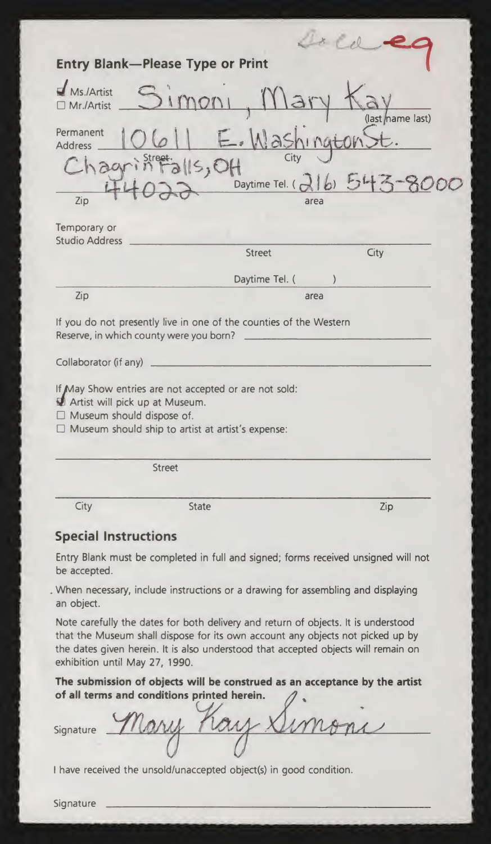|                                                                    | <b>Entry Blank-Please Type or Print</b>                                                                           |                          |
|--------------------------------------------------------------------|-------------------------------------------------------------------------------------------------------------------|--------------------------|
| $\blacksquare$ Ms./Artist<br>□ Mr./Artist                          |                                                                                                                   | (last <i>mame last</i> ) |
| Permanent<br><b>Address</b><br>Chagy<br>Zip                        | $a$ <sub>15</sub> , OH<br>Daytime Tel. (216)<br>area                                                              |                          |
| Temporary or<br><b>Studio Address</b>                              | <b>Street</b>                                                                                                     | City                     |
|                                                                    | Daytime Tel. (                                                                                                    |                          |
| Zip                                                                | area                                                                                                              |                          |
| Reserve, in which county were you born?                            | If you do not presently live in one of the counties of the Western                                                |                          |
| Collaborator (if any)                                              |                                                                                                                   |                          |
| Artist will pick up at Museum.<br>$\Box$ Museum should dispose of. | If May Show entries are not accepted or are not sold:<br>$\Box$ Museum should ship to artist at artist's expense: |                          |
|                                                                    | <b>Street</b>                                                                                                     |                          |
| City                                                               | <b>State</b>                                                                                                      | Zip                      |
| <b>Special Instructions</b>                                        |                                                                                                                   |                          |
|                                                                    | Entry Blank must be completed in full and signed; forms received unsigned will not                                |                          |

be accepted.

When necessary, include instructions or <sup>a</sup> drawing for assembling and displaying an object.

Note carefully the dates for both delivery and return of objects. It is understood that the Museum shall dispose for its own account any objects not picked up by the dates given herein. It is also understood that accepted objects will remain on exhibition until May 27, 1990.

The submission of objects will be construed as an acceptance by the artist of all terms and conditions printed herein.

Signature

<sup>I</sup> have received the unsold/unaccepted object(s) in good condition.

Signature